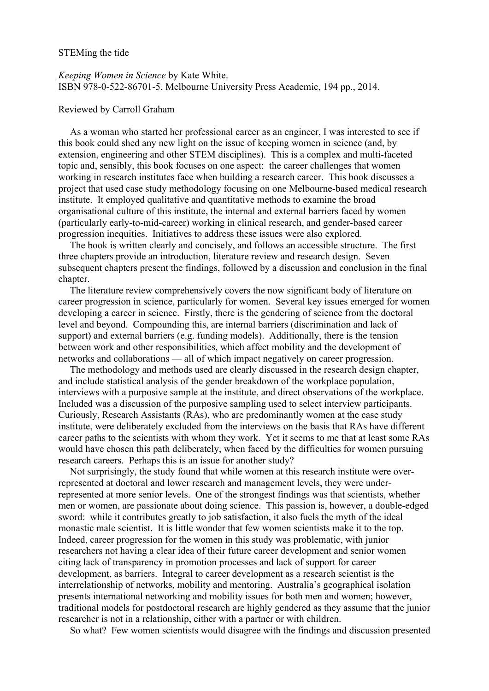## STEMing the tide

*Keeping Women in Science* by Kate White. ISBN 978-0-522-86701-5, Melbourne University Press Academic, 194 pp., 2014.

## Reviewed by Carroll Graham

As a woman who started her professional career as an engineer, I was interested to see if this book could shed any new light on the issue of keeping women in science (and, by extension, engineering and other STEM disciplines). This is a complex and multi-faceted topic and, sensibly, this book focuses on one aspect: the career challenges that women working in research institutes face when building a research career. This book discusses a project that used case study methodology focusing on one Melbourne-based medical research institute. It employed qualitative and quantitative methods to examine the broad organisational culture of this institute, the internal and external barriers faced by women (particularly early-to-mid-career) working in clinical research, and gender-based career progression inequities. Initiatives to address these issues were also explored.

The book is written clearly and concisely, and follows an accessible structure. The first three chapters provide an introduction, literature review and research design. Seven subsequent chapters present the findings, followed by a discussion and conclusion in the final chapter.

The literature review comprehensively covers the now significant body of literature on career progression in science, particularly for women. Several key issues emerged for women developing a career in science. Firstly, there is the gendering of science from the doctoral level and beyond. Compounding this, are internal barriers (discrimination and lack of support) and external barriers (e.g. funding models). Additionally, there is the tension between work and other responsibilities, which affect mobility and the development of networks and collaborations — all of which impact negatively on career progression.

The methodology and methods used are clearly discussed in the research design chapter, and include statistical analysis of the gender breakdown of the workplace population, interviews with a purposive sample at the institute, and direct observations of the workplace. Included was a discussion of the purposive sampling used to select interview participants. Curiously, Research Assistants (RAs), who are predominantly women at the case study institute, were deliberately excluded from the interviews on the basis that RAs have different career paths to the scientists with whom they work. Yet it seems to me that at least some RAs would have chosen this path deliberately, when faced by the difficulties for women pursuing research careers. Perhaps this is an issue for another study?

Not surprisingly, the study found that while women at this research institute were overrepresented at doctoral and lower research and management levels, they were underrepresented at more senior levels. One of the strongest findings was that scientists, whether men or women, are passionate about doing science. This passion is, however, a double-edged sword: while it contributes greatly to job satisfaction, it also fuels the myth of the ideal monastic male scientist. It is little wonder that few women scientists make it to the top. Indeed, career progression for the women in this study was problematic, with junior researchers not having a clear idea of their future career development and senior women citing lack of transparency in promotion processes and lack of support for career development, as barriers. Integral to career development as a research scientist is the interrelationship of networks, mobility and mentoring. Australia's geographical isolation presents international networking and mobility issues for both men and women; however, traditional models for postdoctoral research are highly gendered as they assume that the junior researcher is not in a relationship, either with a partner or with children.

So what? Few women scientists would disagree with the findings and discussion presented